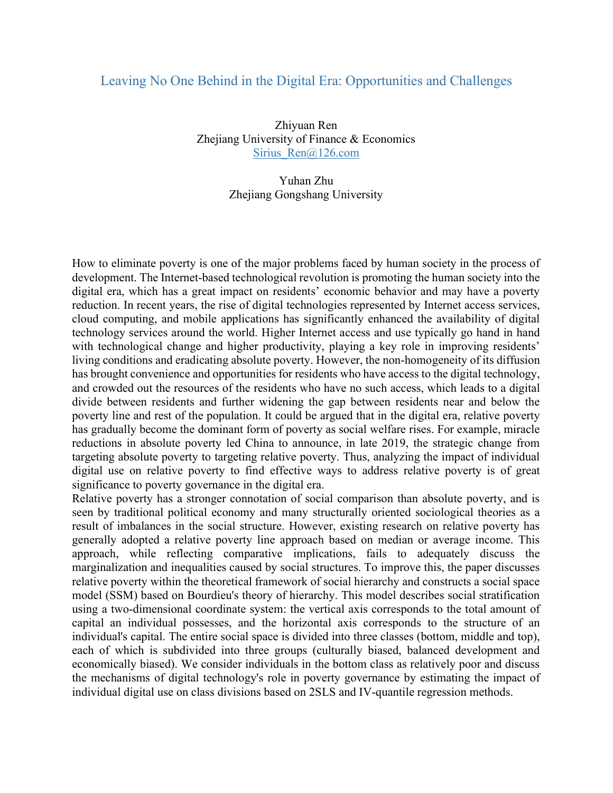## Leaving No One Behind in the Digital Era: Opportunities and Challenges

Zhiyuan Ren Zhejiang University of Finance & Economics Sirius Ren@126.com

> Yuhan Zhu Zhejiang Gongshang University

How to eliminate poverty is one of the major problems faced by human society in the process of development. The Internet-based technological revolution is promoting the human society into the digital era, which has a great impact on residents' economic behavior and may have a poverty reduction. In recent years, the rise of digital technologies represented by Internet access services, cloud computing, and mobile applications has significantly enhanced the availability of digital technology services around the world. Higher Internet access and use typically go hand in hand with technological change and higher productivity, playing a key role in improving residents' living conditions and eradicating absolute poverty. However, the non-homogeneity of its diffusion has brought convenience and opportunities for residents who have access to the digital technology, and crowded out the resources of the residents who have no such access, which leads to a digital divide between residents and further widening the gap between residents near and below the poverty line and rest of the population. It could be argued that in the digital era, relative poverty has gradually become the dominant form of poverty as social welfare rises. For example, miracle reductions in absolute poverty led China to announce, in late 2019, the strategic change from targeting absolute poverty to targeting relative poverty. Thus, analyzing the impact of individual digital use on relative poverty to find effective ways to address relative poverty is of great significance to poverty governance in the digital era.

Relative poverty has a stronger connotation of social comparison than absolute poverty, and is seen by traditional political economy and many structurally oriented sociological theories as a result of imbalances in the social structure. However, existing research on relative poverty has generally adopted a relative poverty line approach based on median or average income. This approach, while reflecting comparative implications, fails to adequately discuss the marginalization and inequalities caused by social structures. To improve this, the paper discusses relative poverty within the theoretical framework of social hierarchy and constructs a social space model (SSM) based on Bourdieu's theory of hierarchy. This model describes social stratification using a two-dimensional coordinate system: the vertical axis corresponds to the total amount of capital an individual possesses, and the horizontal axis corresponds to the structure of an individual's capital. The entire social space is divided into three classes (bottom, middle and top), each of which is subdivided into three groups (culturally biased, balanced development and economically biased). We consider individuals in the bottom class as relatively poor and discuss the mechanisms of digital technology's role in poverty governance by estimating the impact of individual digital use on class divisions based on 2SLS and IV-quantile regression methods.